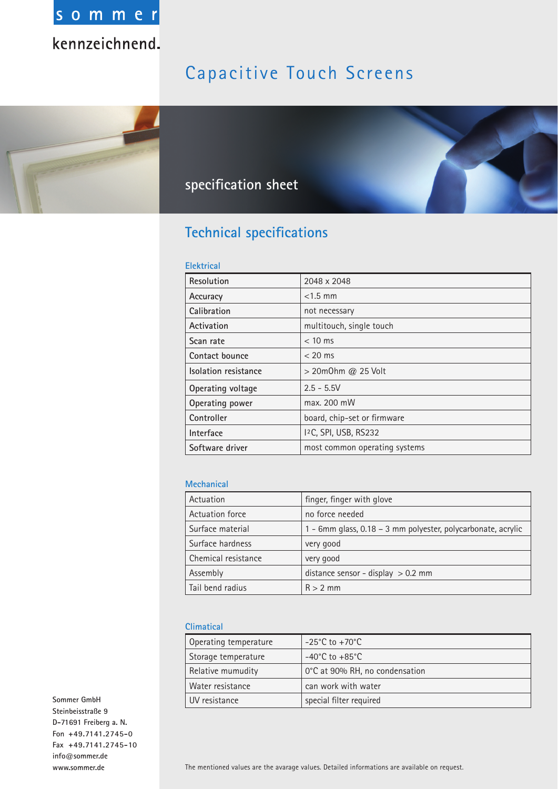

## Capacitive Touch Screens



## **specifi cation sheet**

### **Technical specifications**

#### **Elektrical**

| Resolution           | 2048 x 2048                   |  |  |
|----------------------|-------------------------------|--|--|
| Accuracy             | $<$ 1.5 mm                    |  |  |
| Calibration          | not necessary                 |  |  |
| Activation           | multitouch, single touch      |  |  |
| Scan rate            | $< 10$ ms                     |  |  |
| Contact bounce       | $< 20$ ms                     |  |  |
| Isolation resistance | > 20m0hm @ 25 Volt            |  |  |
| Operating voltage    | $2.5 - 5.5V$                  |  |  |
| Operating power      | max. 200 mW                   |  |  |
| Controller           | board, chip-set or firmware   |  |  |
| Interface            | 12C, SPI, USB, RS232          |  |  |
| Software driver      | most common operating systems |  |  |

#### **Mechanical**

| Actuation           | finger, finger with glove                                    |  |  |
|---------------------|--------------------------------------------------------------|--|--|
| Actuation force     | no force needed                                              |  |  |
| Surface material    | 1 - 6mm glass, 0.18 - 3 mm polyester, polycarbonate, acrylic |  |  |
| Surface hardness    | very good                                                    |  |  |
| Chemical resistance | very good                                                    |  |  |
| Assembly            | distance sensor - display $> 0.2$ mm                         |  |  |
| Tail bend radius    | $R > 2$ mm                                                   |  |  |

#### **Climatical**

| Operating temperature                               | $-25^{\circ}$ C to $+70^{\circ}$ C |  |  |
|-----------------------------------------------------|------------------------------------|--|--|
| Storage temperature                                 | $-40^{\circ}$ C to $+85^{\circ}$ C |  |  |
| 0°C at 90% RH, no condensation<br>Relative mumudity |                                    |  |  |
| Water resistance                                    | can work with water                |  |  |
| UV resistance                                       | special filter required            |  |  |

**Sommer GmbH Steinbeisstraße 9 D-71691 Freiberg a. N. Fon +49.7141.2745-0 Fax +49.7141.2745-10 info@sommer.de www.sommer.de**

The mentioned values are the avarage values. Detailed informations are available on request.